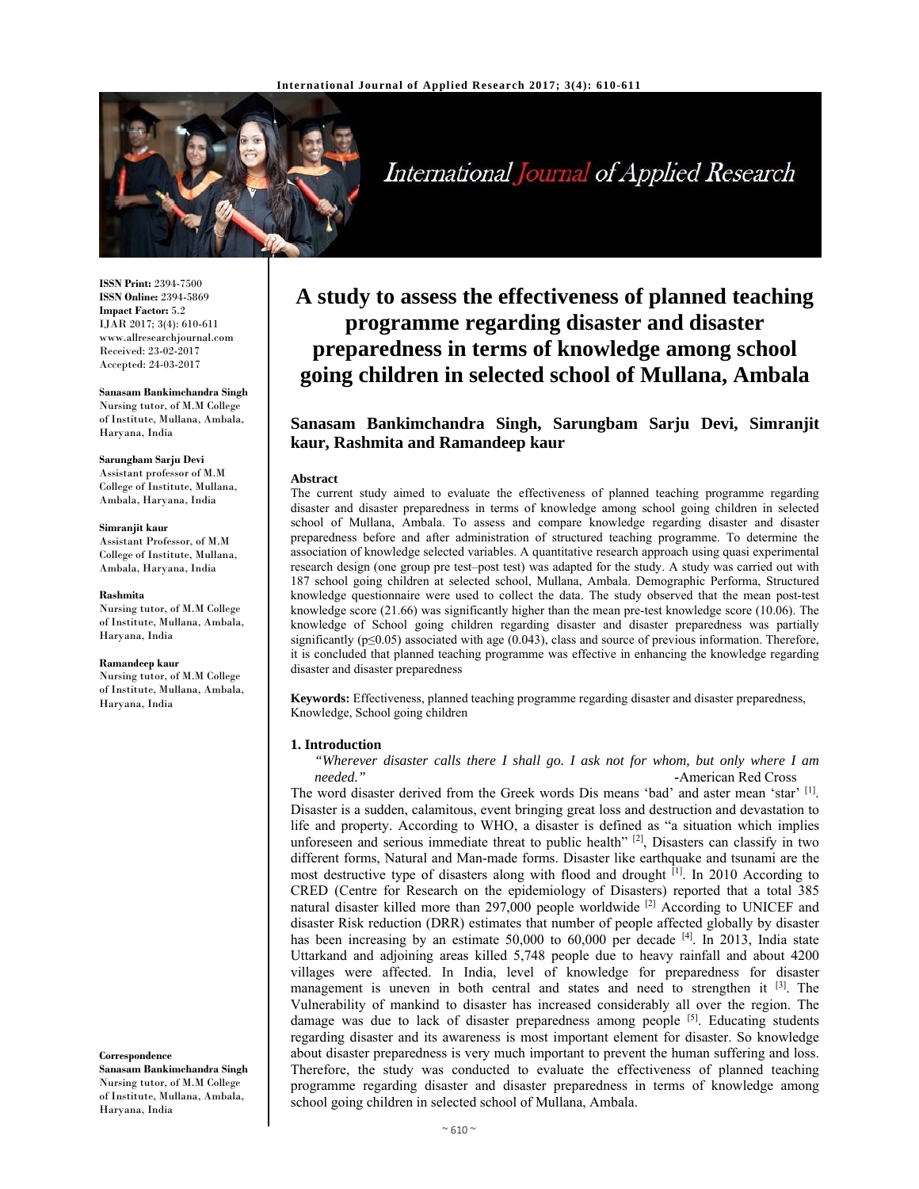

International Journal of Applied Research

**ISSN Print:** 2394-7500 **ISSN Online:** 2394-5869 **Impact Factor:** 5.2 IJAR 2017; 3(4): 610-611 www.allresearchjournal.com Received: 23-02-2017 Accepted: 24-03-2017

# **Sanasam Bankimchandra Singh**  Nursing tutor, of M.M College of Institute, Mullana, Ambala,

Haryana, India **Sarungbam Sarju Devi** 

Assistant professor of M.M College of Institute, Mullana, Ambala, Haryana, India

#### **Simranjit kaur**

Assistant Professor, of M.M College of Institute, Mullana, Ambala, Haryana, India

#### **Rashmita**

Nursing tutor, of M.M College of Institute, Mullana, Ambala, Haryana, India

#### **Ramandeep kaur**

Nursing tutor, of M.M College of Institute, Mullana, Ambala, Haryana, India

**Correspondence Sanasam Bankimchandra Singh** 

Nursing tutor, of M.M College of Institute, Mullana, Ambala, Haryana, India

# **A study to assess the effectiveness of planned teaching programme regarding disaster and disaster preparedness in terms of knowledge among school going children in selected school of Mullana, Ambala**

# **Sanasam Bankimchandra Singh, Sarungbam Sarju Devi, Simranjit kaur, Rashmita and Ramandeep kaur**

#### **Abstract**

The current study aimed to evaluate the effectiveness of planned teaching programme regarding disaster and disaster preparedness in terms of knowledge among school going children in selected school of Mullana, Ambala. To assess and compare knowledge regarding disaster and disaster preparedness before and after administration of structured teaching programme. To determine the association of knowledge selected variables. A quantitative research approach using quasi experimental research design (one group pre test–post test) was adapted for the study. A study was carried out with 187 school going children at selected school, Mullana, Ambala. Demographic Performa, Structured knowledge questionnaire were used to collect the data. The study observed that the mean post-test knowledge score (21.66) was significantly higher than the mean pre-test knowledge score (10.06). The knowledge of School going children regarding disaster and disaster preparedness was partially significantly ( $p \leq 0.05$ ) associated with age (0.043), class and source of previous information. Therefore, it is concluded that planned teaching programme was effective in enhancing the knowledge regarding disaster and disaster preparedness

**Keywords:** Effectiveness, planned teaching programme regarding disaster and disaster preparedness, Knowledge, School going children

#### **1. Introduction**

*"Wherever disaster calls there I shall go. I ask not for whom, but only where I am needed." -*American Red Cross

The word disaster derived from the Greek words Dis means 'bad' and aster mean 'star' [1]. Disaster is a sudden, calamitous, event bringing great loss and destruction and devastation to life and property. According to WHO, a disaster is defined as "a situation which implies unforeseen and serious immediate threat to public health" [2], Disasters can classify in two different forms, Natural and Man-made forms. Disaster like earthquake and tsunami are the most destructive type of disasters along with flood and drought <sup>[1]</sup>. In 2010 According to CRED (Centre for Research on the epidemiology of Disasters) reported that a total 385 natural disaster killed more than 297,000 people worldwide  $^{[2]}$  According to UNICEF and disaster Risk reduction (DRR) estimates that number of people affected globally by disaster has been increasing by an estimate  $50,000$  to  $60,000$  per decade  $^{[4]}$ . In 2013, India state Uttarkand and adjoining areas killed 5,748 people due to heavy rainfall and about 4200 villages were affected. In India, level of knowledge for preparedness for disaster management is uneven in both central and states and need to strengthen it  $[3]$ . The Vulnerability of mankind to disaster has increased considerably all over the region. The damage was due to lack of disaster preparedness among people  $[5]$ . Educating students regarding disaster and its awareness is most important element for disaster. So knowledge about disaster preparedness is very much important to prevent the human suffering and loss. Therefore, the study was conducted to evaluate the effectiveness of planned teaching programme regarding disaster and disaster preparedness in terms of knowledge among school going children in selected school of Mullana, Ambala.